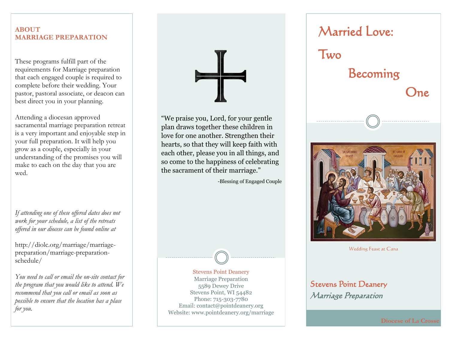## **ABOUT MARRIAGE PREPARATION**

These programs fulfill part of the requirements for Marriage preparation that each engaged couple is required to complete before their wedding. Your pastor, pastoral associate, or deacon can best direct you in your planning.

Attending a diocesan approved sacramental marriage preparation retreat is a very important and enjoyable step in your full preparation. It will help you grow as a couple, especially in your understanding of the promises you will make to each on the day that you are wed.

*If attending one of these offered dates does not work for your schedule, a list of the retreats offered in our diocese can be found online at* 

http://diolc.org/marriage/marriagepreparation/marriage-preparationschedule/

*You need to call or email the on-site contact for the program that you would like to attend. We recommend that you call or email as soon as possible to ensure that the location has a place for you.*



"We praise you, Lord, for your gentle plan draws together these children in love for one another. Strengthen their hearts, so that they will keep faith with each other, please you in all things, and so come to the happiness of celebrating the sacrament of their marriage."

-Blessing of Engaged Couple



Marriage Preparation 5589 Dewey Drive Stevens Point, WI 54482 Phone: 715-303-7780 Email: contact@pointdeanery.org Website: www.pointdeanery.org/marriage



Wedding Feast at Cana

## Stevens Point Deanery Marriage Preparation

**Diocese of La Crosse**